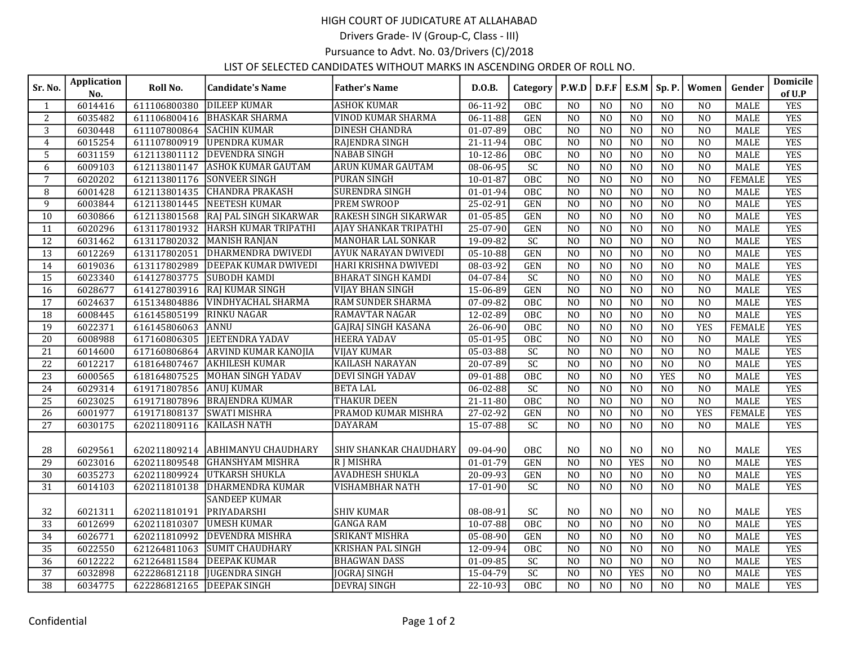## HIGH COURT OF JUDICATURE AT ALLAHABAD

Drivers Grade- IV (Group-C, Class - III)

Pursuance to Advt. No. 03/Drivers (C)/2018

## LIST OF SELECTED CANDIDATES WITHOUT MARKS IN ASCENDING ORDER OF ROLL NO.

| Sr. No.         | <b>Application</b><br>No. | Roll No.                  | <b>Candidate's Name</b>            | <b>Father's Name</b>          | D.O.B.         | Category         | P.W.D           | D.F.F           | E.S.M           | Sp. P.          | Women           | Gender        | Domicile<br>of U.P |
|-----------------|---------------------------|---------------------------|------------------------------------|-------------------------------|----------------|------------------|-----------------|-----------------|-----------------|-----------------|-----------------|---------------|--------------------|
| 1               | 6014416                   | 611106800380              | <b>DILEEP KUMAR</b>                | <b>ASHOK KUMAR</b>            | $06-11-92$     | OBC              | N <sub>0</sub>  | N <sub>O</sub>  | N <sub>0</sub>  | N <sub>O</sub>  | N <sub>O</sub>  | <b>MALE</b>   | <b>YES</b>         |
| $\overline{2}$  | 6035482                   | 611106800416              | <b>BHASKAR SHARMA</b>              | <b>VINOD KUMAR SHARMA</b>     | 06-11-88       | <b>GEN</b>       | N <sub>O</sub>  | N <sub>0</sub>  | N <sub>0</sub>  | N <sub>0</sub>  | N <sub>O</sub>  | <b>MALE</b>   | <b>YES</b>         |
| 3               | 6030448                   | 611107800864              | <b>SACHIN KUMAR</b>                | <b>DINESH CHANDRA</b>         | 01-07-89       | <b>OBC</b>       | N <sub>0</sub>  | N <sub>0</sub>  | N <sub>0</sub>  | N <sub>0</sub>  | $\overline{N0}$ | <b>MALE</b>   | <b>YES</b>         |
| $\overline{4}$  | 6015254                   |                           | 611107800919 UPENDRA KUMAR         | RAJENDRA SINGH                | 21-11-94       | OBC              | N <sub>O</sub>  | N <sub>0</sub>  | N <sub>O</sub>  | N <sub>O</sub>  | N <sub>O</sub>  | <b>MALE</b>   | <b>YES</b>         |
| 5               | 6031159                   | 612113801112              | <b>DEVENDRA SINGH</b>              | <b>NABAB SINGH</b>            | $10-12-86$     | OBC              | N <sub>0</sub>  | N <sub>0</sub>  | N <sub>0</sub>  | N <sub>0</sub>  | N <sub>0</sub>  | <b>MALE</b>   | <b>YES</b>         |
| 6               | 6009103                   | 612113801147              | <b>ASHOK KUMAR GAUTAM</b>          | <b>ARUN KUMAR GAUTAM</b>      | $08 - 06 - 95$ | SC               | N <sub>0</sub>  | N <sub>0</sub>  | N <sub>0</sub>  | N <sub>0</sub>  | $\overline{NO}$ | <b>MALE</b>   | <b>YES</b>         |
| $\overline{7}$  | 6020202                   | 612113801176              | ISONVEER SINGH                     | PURAN SINGH                   | 10-01-87       | $\overline{OBC}$ | N <sub>0</sub>  | N <sub>0</sub>  | N <sub>0</sub>  | N <sub>0</sub>  | NO              | <b>FEMALE</b> | <b>YES</b>         |
| 8               | 6001428                   | 612113801435              | <b>CHANDRA PRAKASH</b>             | <b>SURENDRA SINGH</b>         | $01 - 01 - 94$ | OBC              | N <sub>0</sub>  | N <sub>0</sub>  | N <sub>0</sub>  | N <sub>0</sub>  | N <sub>0</sub>  | <b>MALE</b>   | <b>YES</b>         |
| 9               | 6003844                   | 612113801445              | <b>INEETESH KUMAR</b>              | <b>PREM SWROOP</b>            | 25-02-91       | <b>GEN</b>       | N <sub>O</sub>  | N <sub>0</sub>  | N <sub>0</sub>  | N <sub>O</sub>  | N <sub>O</sub>  | <b>MALE</b>   | <b>YES</b>         |
| 10              | 6030866                   | 612113801568              | RAJ PAL SINGH SIKARWAR             | RAKESH SINGH SIKARWAR         | 01-05-85       | GEN              | N <sub>O</sub>  | N <sub>O</sub>  | N <sub>O</sub>  | N <sub>O</sub>  | N <sub>O</sub>  | <b>MALE</b>   | <b>YES</b>         |
| 11              | 6020296                   |                           | 613117801932  HARSH KUMAR TRIPATHI | AJAY SHANKAR TRIPATHI         | 25-07-90       | <b>GEN</b>       | $\overline{NO}$ | N <sub>0</sub>  | $\overline{NO}$ | N <sub>0</sub>  | N <sub>O</sub>  | <b>MALE</b>   | <b>YES</b>         |
| 12              | 6031462                   |                           | 613117802032 MANISH RANJAN         | MANOHAR LAL SONKAR            | 19-09-82       | SC               | N <sub>0</sub>  | N <sub>O</sub>  | N <sub>0</sub>  | N <sub>0</sub>  | N <sub>O</sub>  | MALE          | <b>YES</b>         |
| 13              | 6012269                   | 613117802051              | DHARMENDRA DWIVEDI                 | <b>AYUK NARAYAN DWIVEDI</b>   | $05 - 10 - 88$ | <b>GEN</b>       | N <sub>O</sub>  | N <sub>0</sub>  | N <sub>O</sub>  | N <sub>0</sub>  | N <sub>O</sub>  | <b>MALE</b>   | <b>YES</b>         |
| 14              | 6019036                   | 613117802989              | <b>DEEPAK KUMAR DWIVEDI</b>        | HARI KRISHNA DWIVEDI          | 08-03-92       | <b>GEN</b>       | N <sub>0</sub>  | $\overline{N}$  | $\overline{N0}$ | $\overline{N0}$ | $\overline{NO}$ | <b>MALE</b>   | <b>YES</b>         |
| 15              | 6023340                   | 614127803775              | <b>SUBODH KAMDI</b>                | <b>BHARAT SINGH KAMDI</b>     | 04-07-84       | SC               | N <sub>O</sub>  | N <sub>0</sub>  | N <sub>O</sub>  | N <sub>O</sub>  | NO              | <b>MALE</b>   | <b>YES</b>         |
| 16              | 6028677                   |                           | 614127803916   RAJ KUMAR SINGH     | <b>VIJAY BHAN SINGH</b>       | 15-06-89       | <b>GEN</b>       | N <sub>0</sub>  | N <sub>0</sub>  | N <sub>0</sub>  | N <sub>0</sub>  | N <sub>0</sub>  | <b>MALE</b>   | <b>YES</b>         |
| 17              | 6024637                   | 615134804886              | <b>VINDHYACHAL SHARMA</b>          | <b>RAM SUNDER SHARMA</b>      | 07-09-82       | OBC              | N <sub>O</sub>  | N <sub>0</sub>  | N <sub>O</sub>  | N <sub>0</sub>  | N <sub>O</sub>  | <b>MALE</b>   | <b>YES</b>         |
| 18              | 6008445                   | 616145805199              | <b>RINKU NAGAR</b>                 | <b>RAMAVTAR NAGAR</b>         | 12-02-89       | $\overline{OBC}$ | $\overline{NO}$ | $\overline{NO}$ | $\overline{NO}$ | N <sub>0</sub>  | N <sub>0</sub>  | <b>MALE</b>   | <b>YES</b>         |
| $\overline{19}$ | 6022371                   | 616145806063              | <b>ANNU</b>                        | <b>GAJRAJ SINGH KASANA</b>    | 26-06-90       | OBC              | N <sub>0</sub>  | N <sub>0</sub>  | N <sub>0</sub>  | N <sub>0</sub>  | <b>YES</b>      | <b>FEMALE</b> | <b>YES</b>         |
| 20              | 6008988                   | 617160806305              | <b>JEETENDRA YADAV</b>             | <b>HEERA YADAV</b>            | 05-01-95       | OBC              | N <sub>0</sub>  | N <sub>O</sub>  | N <sub>0</sub>  | N <sub>O</sub>  | N <sub>O</sub>  | <b>MALE</b>   | <b>YES</b>         |
| 21              | 6014600                   |                           | 617160806864 ARVIND KUMAR KANOJIA  | <b>VIJAY KUMAR</b>            | 05-03-88       | $\overline{SC}$  | N <sub>O</sub>  | N <sub>O</sub>  | N <sub>O</sub>  | N <sub>O</sub>  | N <sub>O</sub>  | <b>MALE</b>   | <b>YES</b>         |
| $\overline{22}$ | 6012217                   | 618164807467              | <b>AKHILESH KUMAR</b>              | <b>KAILASH NARAYAN</b>        | $20 - 07 - 89$ | SC               | N <sub>0</sub>  | N <sub>0</sub>  | N <sub>0</sub>  | N <sub>0</sub>  | N <sub>O</sub>  | <b>MALE</b>   | <b>YES</b>         |
| $\overline{23}$ | 6000565                   | 618164807525              | MOHAN SINGH YADAV                  | <b>DEVI SINGH YADAV</b>       | $09-01-88$     | OBC              | N <sub>0</sub>  | N <sub>O</sub>  | N <sub>O</sub>  | <b>YES</b>      | N <sub>O</sub>  | <b>MALE</b>   | <b>YES</b>         |
| 24              | 6029314                   | 619171807856              | <b>ANUJ KUMAR</b>                  | <b>BETALAL</b>                | 06-02-88       | $\overline{SC}$  | N <sub>O</sub>  | N <sub>0</sub>  | N <sub>O</sub>  | N <sub>O</sub>  | N <sub>O</sub>  | <b>MALE</b>   | <b>YES</b>         |
| $\overline{25}$ | 6023025                   | 619171807896              | <b>BRAJENDRA KUMAR</b>             | <b>THAKUR DEEN</b>            | $21 - 11 - 80$ | $\overline{OBC}$ | N <sub>0</sub>  | $\overline{NO}$ | $\overline{NO}$ | N <sub>0</sub>  | $\overline{NO}$ | <b>MALE</b>   | <b>YES</b>         |
| 26              | 6001977                   | 619171808137              | <b>SWATI MISHRA</b>                | PRAMOD KUMAR MISHRA           | 27-02-92       | <b>GEN</b>       | N <sub>O</sub>  | N <sub>0</sub>  | N <sub>O</sub>  | N <sub>O</sub>  | <b>YES</b>      | <b>FEMALE</b> | <b>YES</b>         |
| 27              | 6030175                   | 620211809116              | <b>KAILASH NATH</b>                | <b>DAYARAM</b>                | 15-07-88       | SC               | N <sub>0</sub>  | N <sub>O</sub>  | N <sub>O</sub>  | N <sub>0</sub>  | N <sub>0</sub>  | MALE          | <b>YES</b>         |
| 28              | 6029561                   |                           | 620211809214 ABHIMANYU CHAUDHARY   | <b>SHIV SHANKAR CHAUDHARY</b> | 09-04-90       | OBC              | N <sub>O</sub>  | N <sub>O</sub>  | N <sub>0</sub>  | $_{\rm NO}$     | N <sub>O</sub>  | <b>MALE</b>   | <b>YES</b>         |
| 29              | 6023016                   | 620211809548              | <b>GHANSHYAM MISHRA</b>            | <b>RIMISHRA</b>               | $01-01-79$     | <b>GEN</b>       | N <sub>0</sub>  | $\overline{NO}$ | <b>YES</b>      | N <sub>0</sub>  | N <sub>O</sub>  | <b>MALE</b>   | <b>YES</b>         |
| 30              | 6035273                   |                           | 620211809924 UTKARSH SHUKLA        | <b>AVADHESH SHUKLA</b>        | 20-09-93       | <b>GEN</b>       | N <sub>O</sub>  | N <sub>0</sub>  | N <sub>O</sub>  | N <sub>O</sub>  | N <sub>O</sub>  | <b>MALE</b>   | <b>YES</b>         |
| 31              | 6014103                   | 620211810138              | DHARMENDRA KUMAR                   | <b>VISHAMBHAR NATH</b>        | 17-01-90       | SC               | N <sub>0</sub>  | N <sub>0</sub>  | N <sub>0</sub>  | NO              | N <sub>O</sub>  | <b>MALE</b>   | <b>YES</b>         |
|                 |                           |                           | <b>SANDEEP KUMAR</b>               |                               |                |                  |                 |                 |                 |                 |                 |               |                    |
| 32              | 6021311                   | 620211810191              | PRIYADARSHI                        | <b>SHIV KUMAR</b>             | 08-08-91       | SC               | N <sub>0</sub>  | N <sub>O</sub>  | N <sub>0</sub>  | N <sub>O</sub>  | N <sub>O</sub>  | <b>MALE</b>   | <b>YES</b>         |
| $\overline{33}$ | 6012699                   | 620211810307              | <b>UMESH KUMAR</b>                 | <b>GANGA RAM</b>              | $10-07-88$     | OBC              | N <sub>0</sub>  | N <sub>0</sub>  | N <sub>0</sub>  | N <sub>0</sub>  | N <sub>O</sub>  | <b>MALE</b>   | <b>YES</b>         |
| 34              | 6026771                   | 620211810992              | <b>DEVENDRA MISHRA</b>             | <b>SRIKANT MISHRA</b>         | 05-08-90       | <b>GEN</b>       | N <sub>0</sub>  | N <sub>0</sub>  | N <sub>0</sub>  | N <sub>0</sub>  | N <sub>O</sub>  | <b>MALE</b>   | <b>YES</b>         |
| 35              | 6022550                   | 621264811063              | ISUMIT CHAUDHARY                   | <b>KRISHAN PAL SINGH</b>      | 12-09-94       | OBC              | N <sub>O</sub>  | N <sub>O</sub>  | N <sub>O</sub>  | N <sub>O</sub>  | N <sub>O</sub>  | <b>MALE</b>   | <b>YES</b>         |
| $\overline{36}$ | 6012222                   | 621264811584              | <b>DEEPAK KUMAR</b>                | <b>BHAGWAN DASS</b>           | 01-09-85       | $\overline{SC}$  | N <sub>0</sub>  | N <sub>0</sub>  | $\overline{N0}$ | N <sub>0</sub>  | $\overline{NO}$ | <b>MALE</b>   | <b>YES</b>         |
| 37              | 6032898                   | 622286812118              | <b>JUGENDRA SINGH</b>              | <b>JOGRAJ SINGH</b>           | 15-04-79       | $\overline{SC}$  | N <sub>O</sub>  | N <sub>O</sub>  | <b>YES</b>      | N <sub>0</sub>  | N <sub>O</sub>  | <b>MALE</b>   | <b>YES</b>         |
| $\overline{38}$ | 6034775                   | 622286812165 DEEPAK SINGH |                                    | <b>DEVRAJ SINGH</b>           | $22 - 10 - 93$ | OBC              | N <sub>0</sub>  | N <sub>0</sub>  | N <sub>0</sub>  | N <sub>0</sub>  | N <sub>0</sub>  | <b>MALE</b>   | <b>YES</b>         |